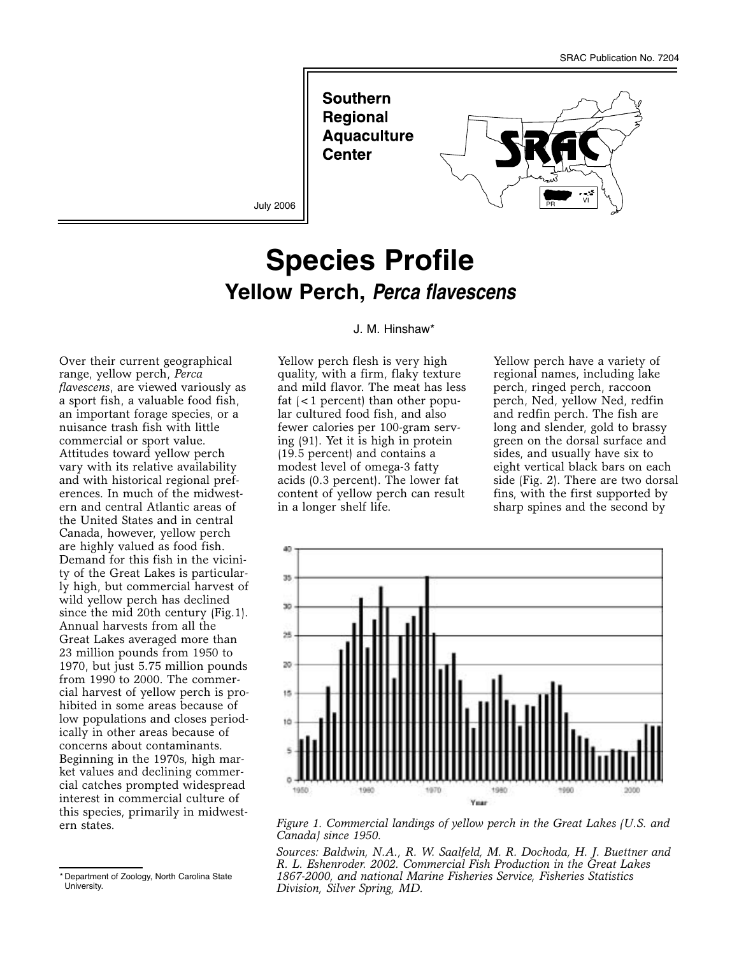**Southern Regional Aquaculture Center** 



July 2006

# **Species Profile Yellow Perch, Perca flavescens**

Over their current geographical range, yellow perch, *Perca flavescens*, are viewed variously as a sport fish, a valuable food fish, an important forage species, or a nuisance trash fish with little commercial or sport value. Attitudes toward yellow perch vary with its relative availability and with historical regional preferences. In much of the midwestern and central Atlantic areas of the United States and in central Canada, however, yellow perch are highly valued as food fish. Demand for this fish in the vicinity of the Great Lakes is particularly high, but commercial harvest of wild yellow perch has declined since the mid 20th century (Fig.1). Annual harvests from all the Great Lakes averaged more than 23 million pounds from 1950 to 1970, but just 5.75 million pounds from 1990 to 2000. The commercial harvest of yellow perch is prohibited in some areas because of low populations and closes periodically in other areas because of concerns about contaminants. Beginning in the 1970s, high market values and declining commercial catches prompted widespread interest in commercial culture of this species, primarily in midwestern states.

#### J. M. Hinshaw\*

Yellow perch flesh is very high quality, with a firm, flaky texture and mild flavor. The meat has less fat (<1 percent) than other popular cultured food fish, and also fewer calories per 100-gram serving (91). Yet it is high in protein (19.5 percent) and contains a modest level of omega-3 fatty acids (0.3 percent). The lower fat content of yellow perch can result in a longer shelf life.

Yellow perch have a variety of regional names, including lake perch, ringed perch, raccoon perch, Ned, yellow Ned, redfin and redfin perch. The fish are long and slender, gold to brassy green on the dorsal surface and sides, and usually have six to eight vertical black bars on each side (Fig. 2). There are two dorsal fins, with the first supported by sharp spines and the second by



*Figure 1. Commercial landings of yellow perch in the Great Lakes (U.S. and Canada) since 1950.* 

*Sources: Baldwin, N.A., R. W. Saalfeld, M. R. Dochoda, H. J. Buettner and R. L. Eshenroder. 2002. Commercial Fish Production in the Great Lakes 1867-2000, and national Marine Fisheries Service, Fisheries Statistics Division, Silver Spring, MD.*

<sup>\*</sup> Department of Zoology, North Carolina State University.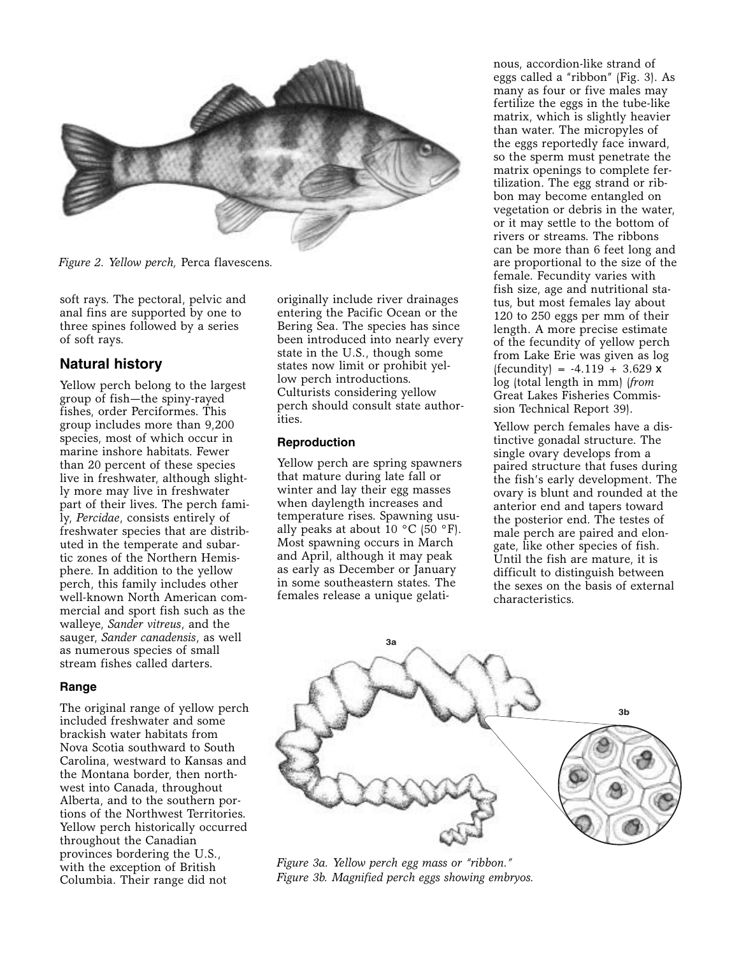

*Figure 2. Yellow perch,* Perca flavescens*.*

soft rays. The pectoral, pelvic and anal fins are supported by one to three spines followed by a series of soft rays.

## **Natural history**

Yellow perch belong to the largest group of fish—the spiny-rayed fishes, order Perciformes. This group includes more than 9,200 species, most of which occur in marine inshore habitats. Fewer than 20 percent of these species live in freshwater, although slightly more may live in freshwater part of their lives. The perch family, *Percidae*, consists entirely of freshwater species that are distributed in the temperate and subartic zones of the Northern Hemisphere. In addition to the yellow perch, this family includes other well-known North American commercial and sport fish such as the walleye, *Sander vitreus*, and the sauger, *Sander canadensis*, as well as numerous species of small stream fishes called darters.

#### **Range**

The original range of yellow perch included freshwater and some brackish water habitats from Nova Scotia southward to South Carolina, westward to Kansas and the Montana border, then northwest into Canada, throughout Alberta, and to the southern portions of the Northwest Territories. Yellow perch historically occurred throughout the Canadian provinces bordering the U.S., with the exception of British Columbia. Their range did not

originally include river drainages entering the Pacific Ocean or the Bering Sea. The species has since been introduced into nearly every state in the U.S., though some states now limit or prohibit yellow perch introductions. Culturists considering yellow perch should consult state authorities.

#### **Reproduction**

Yellow perch are spring spawners that mature during late fall or winter and lay their egg masses when daylength increases and temperature rises. Spawning usually peaks at about  $10 \degree C$  (50 °F). Most spawning occurs in March and April, although it may peak as early as December or January in some southeastern states. The females release a unique gelatinous, accordion-like strand of eggs called a "ribbon" (Fig. 3). As many as four or five males may fertilize the eggs in the tube-like matrix, which is slightly heavier than water. The micropyles of the eggs reportedly face inward, so the sperm must penetrate the matrix openings to complete fertilization. The egg strand or ribbon may become entangled on vegetation or debris in the water, or it may settle to the bottom of rivers or streams. The ribbons can be more than 6 feet long and are proportional to the size of the female. Fecundity varies with fish size, age and nutritional status, but most females lay about 120 to 250 eggs per mm of their length. A more precise estimate of the fecundity of yellow perch from Lake Erie was given as log  $( fecundity) = -4.119 + 3.629 x$ log (total length in mm) (*from* Great Lakes Fisheries Commission Technical Report 39).

Yellow perch females have a distinctive gonadal structure. The single ovary develops from a paired structure that fuses during the fish's early development. The ovary is blunt and rounded at the anterior end and tapers toward the posterior end. The testes of male perch are paired and elongate, like other species of fish. Until the fish are mature, it is difficult to distinguish between the sexes on the basis of external characteristics.



*Figure 3a. Yellow perch egg mass or "ribbon." Figure 3b. Magnified perch eggs showing embryos.*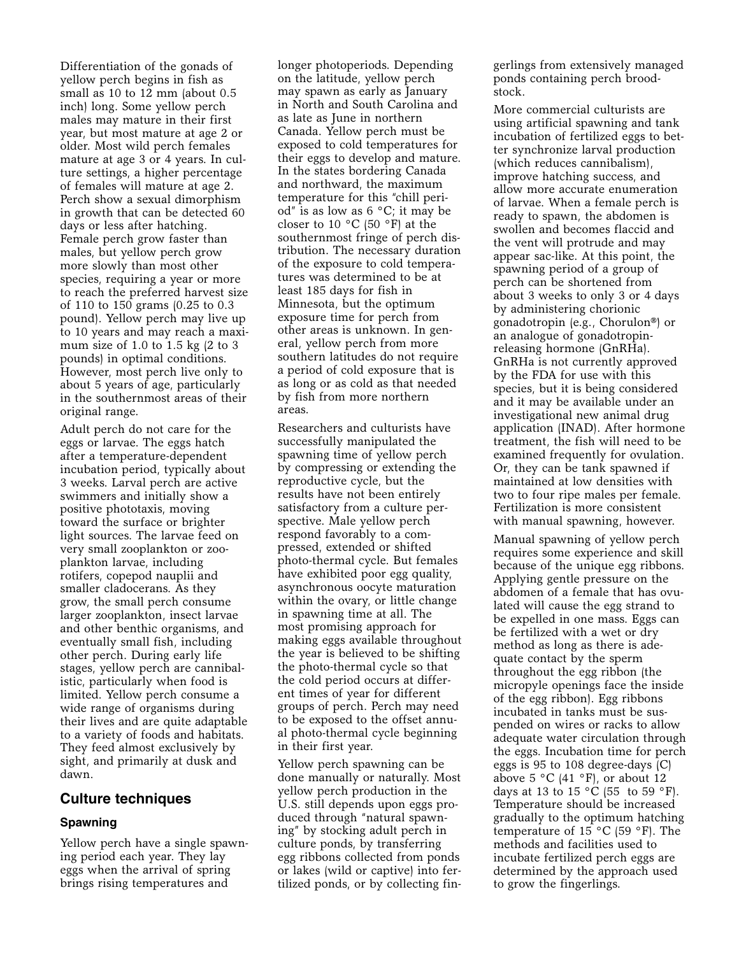Differentiation of the gonads of yellow perch begins in fish as small as 10 to 12 mm (about 0.5 inch) long. Some yellow perch males may mature in their first year, but most mature at age 2 or older. Most wild perch females mature at age 3 or 4 years. In culture settings, a higher percentage of females will mature at age 2. Perch show a sexual dimorphism in growth that can be detected 60 days or less after hatching. Female perch grow faster than males, but yellow perch grow more slowly than most other species, requiring a year or more to reach the preferred harvest size of 110 to 150 grams (0.25 to 0.3 pound). Yellow perch may live up to 10 years and may reach a maximum size of 1.0 to 1.5 kg (2 to 3 pounds) in optimal conditions. However, most perch live only to about 5 years of age, particularly in the southernmost areas of their original range.

Adult perch do not care for the eggs or larvae. The eggs hatch after a temperature-dependent incubation period, typically about 3 weeks. Larval perch are active swimmers and initially show a positive phototaxis, moving toward the surface or brighter light sources. The larvae feed on very small zooplankton or zooplankton larvae, including rotifers, copepod nauplii and smaller cladocerans. As they grow, the small perch consume larger zooplankton, insect larvae and other benthic organisms, and eventually small fish, including other perch. During early life stages, yellow perch are cannibalistic, particularly when food is limited. Yellow perch consume a wide range of organisms during their lives and are quite adaptable to a variety of foods and habitats. They feed almost exclusively by sight, and primarily at dusk and dawn.

## **Culture techniques**

## **Spawning**

Yellow perch have a single spawning period each year. They lay eggs when the arrival of spring brings rising temperatures and

longer photoperiods. Depending on the latitude, yellow perch may spawn as early as January in North and South Carolina and as late as June in northern Canada. Yellow perch must be exposed to cold temperatures for their eggs to develop and mature. In the states bordering Canada and northward, the maximum temperature for this "chill period" is as low as  $6 °C$ ; it may be closer to 10 °C (50 °F) at the southernmost fringe of perch distribution. The necessary duration of the exposure to cold temperatures was determined to be at least 185 days for fish in Minnesota, but the optimum exposure time for perch from other areas is unknown. In general, yellow perch from more southern latitudes do not require a period of cold exposure that is as long or as cold as that needed by fish from more northern areas.

Researchers and culturists have successfully manipulated the spawning time of yellow perch by compressing or extending the reproductive cycle, but the results have not been entirely satisfactory from a culture perspective. Male yellow perch respond favorably to a compressed, extended or shifted photo-thermal cycle. But females have exhibited poor egg quality, asynchronous oocyte maturation within the ovary, or little change in spawning time at all. The most promising approach for making eggs available throughout the year is believed to be shifting the photo-thermal cycle so that the cold period occurs at different times of year for different groups of perch. Perch may need to be exposed to the offset annual photo-thermal cycle beginning in their first year.

Yellow perch spawning can be done manually or naturally. Most yellow perch production in the U.S. still depends upon eggs produced through "natural spawning" by stocking adult perch in culture ponds, by transferring egg ribbons collected from ponds or lakes (wild or captive) into fertilized ponds, or by collecting fingerlings from extensively managed ponds containing perch broodstock.

More commercial culturists are using artificial spawning and tank incubation of fertilized eggs to better synchronize larval production (which reduces cannibalism), improve hatching success, and allow more accurate enumeration of larvae. When a female perch is ready to spawn, the abdomen is swollen and becomes flaccid and the vent will protrude and may appear sac-like. At this point, the spawning period of a group of perch can be shortened from about 3 weeks to only 3 or 4 days by administering chorionic gonadotropin (e.g., Chorulon®) or an analogue of gonadotropinreleasing hormone (GnRHa). GnRHa is not currently approved by the FDA for use with this species, but it is being considered and it may be available under an investigational new animal drug application (INAD). After hormone treatment, the fish will need to be examined frequently for ovulation. Or, they can be tank spawned if maintained at low densities with two to four ripe males per female. Fertilization is more consistent with manual spawning, however.

Manual spawning of yellow perch requires some experience and skill because of the unique egg ribbons. Applying gentle pressure on the abdomen of a female that has ovulated will cause the egg strand to be expelled in one mass. Eggs can be fertilized with a wet or dry method as long as there is adequate contact by the sperm throughout the egg ribbon (the micropyle openings face the inside of the egg ribbon). Egg ribbons incubated in tanks must be suspended on wires or racks to allow adequate water circulation through the eggs. Incubation time for perch eggs is 95 to 108 degree-days (C) above 5  $\degree$ C (41  $\degree$ F), or about 12 days at 13 to 15  $^{\circ}$ C (55 to 59  $^{\circ}$ F). Temperature should be increased gradually to the optimum hatching temperature of 15 °C (59 °F). The methods and facilities used to incubate fertilized perch eggs are determined by the approach used to grow the fingerlings.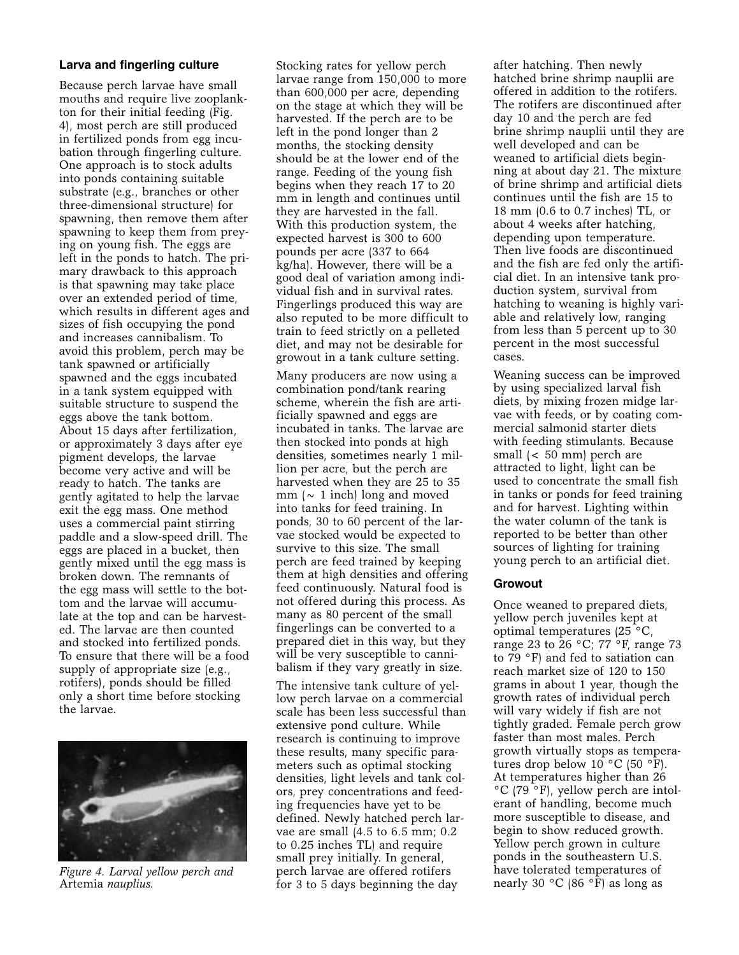#### **Larva and fingerling culture**

Because perch larvae have small mouths and require live zooplankton for their initial feeding (Fig. 4), most perch are still produced in fertilized ponds from egg incubation through fingerling culture. One approach is to stock adults into ponds containing suitable substrate (e.g., branches or other three-dimensional structure) for spawning, then remove them after spawning to keep them from preying on young fish. The eggs are left in the ponds to hatch. The primary drawback to this approach is that spawning may take place over an extended period of time, which results in different ages and sizes of fish occupying the pond and increases cannibalism. To avoid this problem, perch may be tank spawned or artificially spawned and the eggs incubated in a tank system equipped with suitable structure to suspend the eggs above the tank bottom. About 15 days after fertilization, or approximately 3 days after eye pigment develops, the larvae become very active and will be ready to hatch. The tanks are gently agitated to help the larvae exit the egg mass. One method uses a commercial paint stirring paddle and a slow-speed drill. The eggs are placed in a bucket, then gently mixed until the egg mass is broken down. The remnants of the egg mass will settle to the bottom and the larvae will accumulate at the top and can be harvested. The larvae are then counted and stocked into fertilized ponds. To ensure that there will be a food supply of appropriate size (e.g., rotifers), ponds should be filled only a short time before stocking the larvae.



*Figure 4. Larval yellow perch and* Artemia *nauplius.*

Stocking rates for yellow perch larvae range from 150,000 to more than 600,000 per acre, depending on the stage at which they will be harvested. If the perch are to be left in the pond longer than 2 months, the stocking density should be at the lower end of the range. Feeding of the young fish begins when they reach 17 to 20 mm in length and continues until they are harvested in the fall. With this production system, the expected harvest is 300 to 600 pounds per acre (337 to 664 kg/ha). However, there will be a good deal of variation among individual fish and in survival rates. Fingerlings produced this way are also reputed to be more difficult to train to feed strictly on a pelleted diet, and may not be desirable for growout in a tank culture setting.

Many producers are now using a combination pond/tank rearing scheme, wherein the fish are artificially spawned and eggs are incubated in tanks. The larvae are then stocked into ponds at high densities, sometimes nearly 1 million per acre, but the perch are harvested when they are 25 to 35 mm ( $\sim$  1 inch) long and moved into tanks for feed training. In ponds, 30 to 60 percent of the larvae stocked would be expected to survive to this size. The small perch are feed trained by keeping them at high densities and offering feed continuously. Natural food is not offered during this process. As many as 80 percent of the small fingerlings can be converted to a prepared diet in this way, but they will be very susceptible to cannibalism if they vary greatly in size.

The intensive tank culture of yellow perch larvae on a commercial scale has been less successful than extensive pond culture. While research is continuing to improve these results, many specific parameters such as optimal stocking densities, light levels and tank colors, prey concentrations and feeding frequencies have yet to be defined. Newly hatched perch larvae are small (4.5 to 6.5 mm; 0.2 to 0.25 inches TL) and require small prey initially. In general, perch larvae are offered rotifers for 3 to 5 days beginning the day

after hatching. Then newly hatched brine shrimp nauplii are offered in addition to the rotifers. The rotifers are discontinued after day 10 and the perch are fed brine shrimp nauplii until they are well developed and can be weaned to artificial diets beginning at about day 21. The mixture of brine shrimp and artificial diets continues until the fish are 15 to 18 mm (0.6 to 0.7 inches) TL, or about 4 weeks after hatching, depending upon temperature. Then live foods are discontinued and the fish are fed only the artificial diet. In an intensive tank production system, survival from hatching to weaning is highly variable and relatively low, ranging from less than 5 percent up to 30 percent in the most successful cases.

Weaning success can be improved by using specialized larval fish diets, by mixing frozen midge larvae with feeds, or by coating commercial salmonid starter diets with feeding stimulants. Because small (< 50 mm) perch are attracted to light, light can be used to concentrate the small fish in tanks or ponds for feed training and for harvest. Lighting within the water column of the tank is reported to be better than other sources of lighting for training young perch to an artificial diet.

#### **Growout**

Once weaned to prepared diets, yellow perch juveniles kept at optimal temperatures (25 °C, range 23 to 26 °C; 77 °F, range 73 to 79 °F) and fed to satiation can reach market size of 120 to 150 grams in about 1 year, though the growth rates of individual perch will vary widely if fish are not tightly graded. Female perch grow faster than most males. Perch growth virtually stops as temperatures drop below 10 °C (50 °F). At temperatures higher than 26 °C (79 °F), yellow perch are intolerant of handling, become much more susceptible to disease, and begin to show reduced growth. Yellow perch grown in culture ponds in the southeastern U.S. have tolerated temperatures of nearly 30  $^{\circ}$ C (86  $^{\circ}$ F) as long as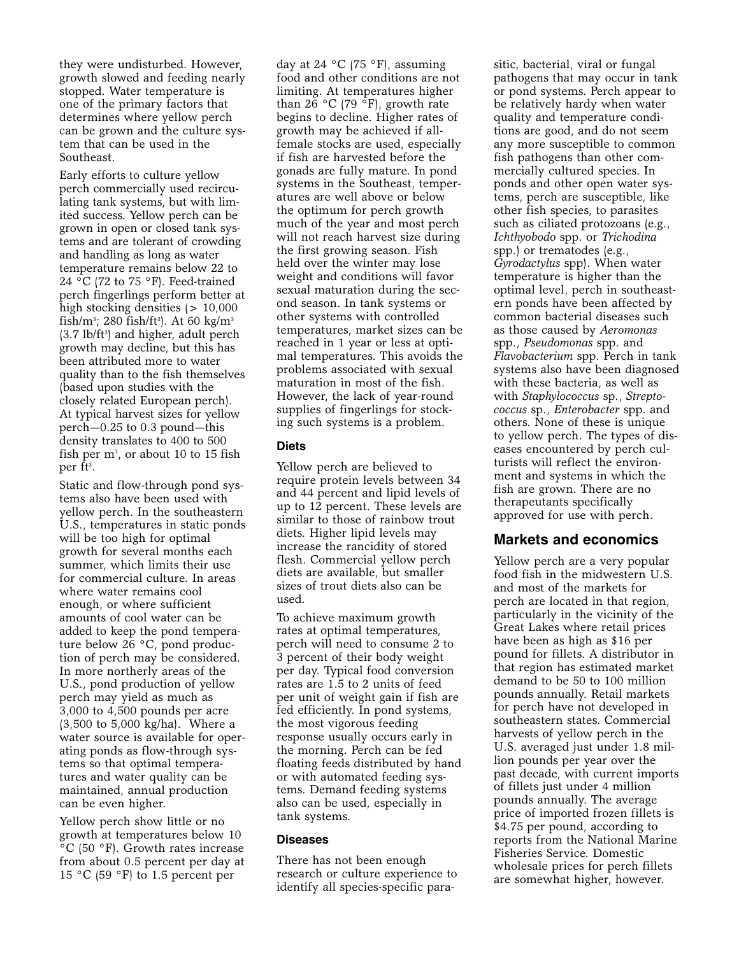they were undisturbed. However, growth slowed and feeding nearly stopped. Water temperature is one of the primary factors that determines where yellow perch can be grown and the culture system that can be used in the Southeast.

Early efforts to culture yellow perch commercially used recirculating tank systems, but with limited success. Yellow perch can be grown in open or closed tank systems and are tolerant of crowding and handling as long as water temperature remains below 22 to 24 °C (72 to 75 °F). Feed-trained perch fingerlings perform better at high stocking densities ( $> 10,000$ fish/m3; 280 fish/ft3). At 60 kg/m3 (3.7 lb/ft<sup>3</sup>) and higher, adult perch growth may decline, but this has been attributed more to water quality than to the fish themselves (based upon studies with the closely related European perch). At typical harvest sizes for yellow perch—0.25 to 0.3 pound—this density translates to 400 to 500 fish per  $m^3$ , or about 10 to 15 fish per ft3.

Static and flow-through pond systems also have been used with yellow perch. In the southeastern U.S., temperatures in static ponds will be too high for optimal growth for several months each summer, which limits their use for commercial culture. In areas where water remains cool enough, or where sufficient amounts of cool water can be added to keep the pond temperature below 26 °C, pond production of perch may be considered. In more northerly areas of the U.S., pond production of yellow perch may yield as much as 3,000 to 4,500 pounds per acre (3,500 to 5,000 kg/ha). Where a water source is available for operating ponds as flow-through systems so that optimal temperatures and water quality can be maintained, annual production can be even higher.

Yellow perch show little or no growth at temperatures below 10 °C (50 °F). Growth rates increase from about 0.5 percent per day at 15 °C (59 °F) to 1.5 percent per

day at 24 °C (75 °F), assuming food and other conditions are not limiting. At temperatures higher than 26 °C (79 °F), growth rate begins to decline. Higher rates of growth may be achieved if allfemale stocks are used, especially if fish are harvested before the gonads are fully mature. In pond systems in the Southeast, temperatures are well above or below the optimum for perch growth much of the year and most perch will not reach harvest size during the first growing season. Fish held over the winter may lose weight and conditions will favor sexual maturation during the second season. In tank systems or other systems with controlled temperatures, market sizes can be reached in 1 year or less at optimal temperatures. This avoids the problems associated with sexual maturation in most of the fish. However, the lack of year-round supplies of fingerlings for stocking such systems is a problem.

#### **Diets**

Yellow perch are believed to require protein levels between 34 and 44 percent and lipid levels of up to 12 percent. These levels are similar to those of rainbow trout diets. Higher lipid levels may increase the rancidity of stored flesh. Commercial yellow perch diets are available, but smaller sizes of trout diets also can be used.

To achieve maximum growth rates at optimal temperatures, perch will need to consume 2 to 3 percent of their body weight per day. Typical food conversion rates are 1.5 to 2 units of feed per unit of weight gain if fish are fed efficiently. In pond systems, the most vigorous feeding response usually occurs early in the morning. Perch can be fed floating feeds distributed by hand or with automated feeding systems. Demand feeding systems also can be used, especially in tank systems.

#### **Diseases**

There has not been enough research or culture experience to identify all species-specific parasitic, bacterial, viral or fungal pathogens that may occur in tank or pond systems. Perch appear to be relatively hardy when water quality and temperature conditions are good, and do not seem any more susceptible to common fish pathogens than other commercially cultured species. In ponds and other open water systems, perch are susceptible, like other fish species, to parasites such as ciliated protozoans (e.g., *Ichthyobodo* spp. or *Trichodina* spp.) or trematodes (e.g., *Gyrodactylus* spp). When water temperature is higher than the optimal level, perch in southeastern ponds have been affected by common bacterial diseases such as those caused by *Aeromonas* spp., *Pseudomonas* spp. and *Flavobacterium* spp. Perch in tank systems also have been diagnosed with these bacteria, as well as with *Staphylococcus* sp., *Streptococcus* sp., *Enterobacter* spp. and others. None of these is unique to yellow perch. The types of diseases encountered by perch culturists will reflect the environment and systems in which the fish are grown. There are no therapeutants specifically approved for use with perch.

## **Markets and economics**

Yellow perch are a very popular food fish in the midwestern U.S. and most of the markets for perch are located in that region, particularly in the vicinity of the Great Lakes where retail prices have been as high as \$16 per pound for fillets. A distributor in that region has estimated market demand to be 50 to 100 million pounds annually. Retail markets for perch have not developed in southeastern states. Commercial harvests of yellow perch in the U.S. averaged just under 1.8 million pounds per year over the past decade, with current imports of fillets just under 4 million pounds annually. The average price of imported frozen fillets is \$4.75 per pound, according to reports from the National Marine Fisheries Service. Domestic wholesale prices for perch fillets are somewhat higher, however.